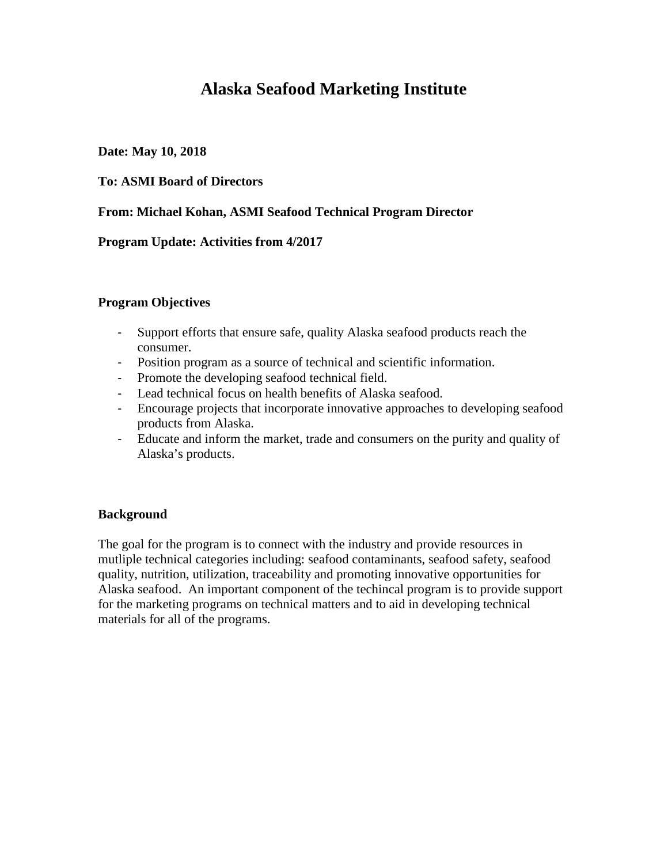# **Alaska Seafood Marketing Institute**

## **Date: May 10, 2018**

## **To: ASMI Board of Directors**

## **From: Michael Kohan, ASMI Seafood Technical Program Director**

### **Program Update: Activities from 4/2017**

### **Program Objectives**

- Support efforts that ensure safe, quality Alaska seafood products reach the consumer.
- Position program as a source of technical and scientific information.
- Promote the developing seafood technical field.
- Lead technical focus on health benefits of Alaska seafood.
- Encourage projects that incorporate innovative approaches to developing seafood products from Alaska.
- Educate and inform the market, trade and consumers on the purity and quality of Alaska's products.

### **Background**

The goal for the program is to connect with the industry and provide resources in mutliple technical categories including: seafood contaminants, seafood safety, seafood quality, nutrition, utilization, traceability and promoting innovative opportunities for Alaska seafood. An important component of the techincal program is to provide support for the marketing programs on technical matters and to aid in developing technical materials for all of the programs.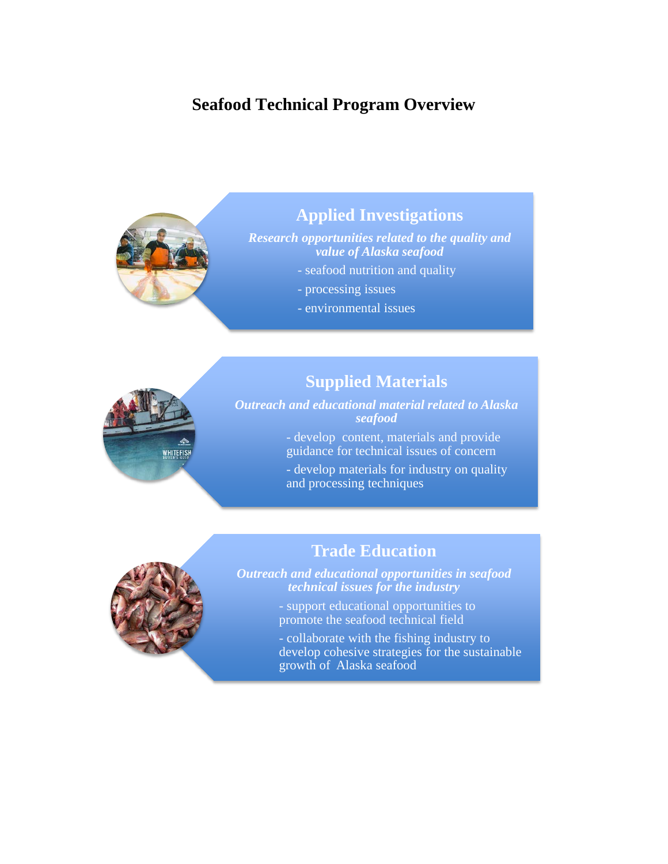# **Seafood Technical Program Overview**



WHITEFISH

# **Applied Investigations**

*Research opportunities related to the quality and value of Alaska seafood*

- seafood nutrition and quality
- processing issues
- environmental issues

# **Supplied Materials**

*Outreach and educational material related to Alaska seafood*

> - develop content, materials and provide guidance for technical issues of concern

- develop materials for industry on quality and processing techniques





*technical issues for the industry*

promote the seafood technical field

- collaborate with the fishing industry to develop cohesive strategies for the sustainable growth of Alaska seafood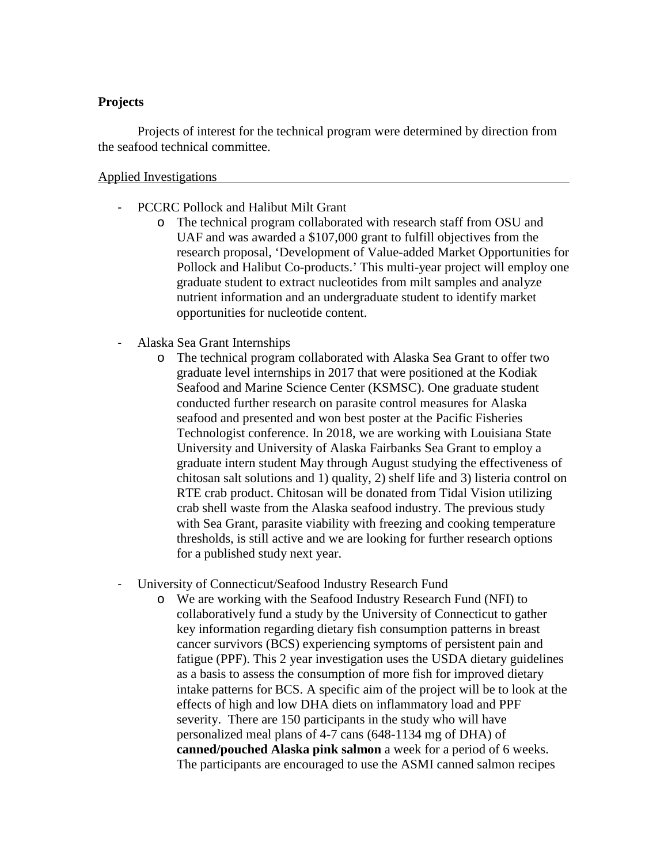### **Projects**

Projects of interest for the technical program were determined by direction from the seafood technical committee.

#### Applied Investigations

- PCCRC Pollock and Halibut Milt Grant
	- o The technical program collaborated with research staff from OSU and UAF and was awarded a \$107,000 grant to fulfill objectives from the research proposal, 'Development of Value-added Market Opportunities for Pollock and Halibut Co-products.' This multi-year project will employ one graduate student to extract nucleotides from milt samples and analyze nutrient information and an undergraduate student to identify market opportunities for nucleotide content.
- Alaska Sea Grant Internships
	- o The technical program collaborated with Alaska Sea Grant to offer two graduate level internships in 2017 that were positioned at the Kodiak Seafood and Marine Science Center (KSMSC). One graduate student conducted further research on parasite control measures for Alaska seafood and presented and won best poster at the Pacific Fisheries Technologist conference. In 2018, we are working with Louisiana State University and University of Alaska Fairbanks Sea Grant to employ a graduate intern student May through August studying the effectiveness of chitosan salt solutions and 1) quality, 2) shelf life and 3) listeria control on RTE crab product. Chitosan will be donated from Tidal Vision utilizing crab shell waste from the Alaska seafood industry. The previous study with Sea Grant, parasite viability with freezing and cooking temperature thresholds, is still active and we are looking for further research options for a published study next year.
- University of Connecticut/Seafood Industry Research Fund
	- o We are working with the Seafood Industry Research Fund (NFI) to collaboratively fund a study by the University of Connecticut to gather key information regarding dietary fish consumption patterns in breast cancer survivors (BCS) experiencing symptoms of persistent pain and fatigue (PPF). This 2 year investigation uses the USDA dietary guidelines as a basis to assess the consumption of more fish for improved dietary intake patterns for BCS. A specific aim of the project will be to look at the effects of high and low DHA diets on inflammatory load and PPF severity. There are 150 participants in the study who will have personalized meal plans of 4-7 cans (648-1134 mg of DHA) of **canned/pouched Alaska pink salmon** a week for a period of 6 weeks. The participants are encouraged to use the ASMI canned salmon recipes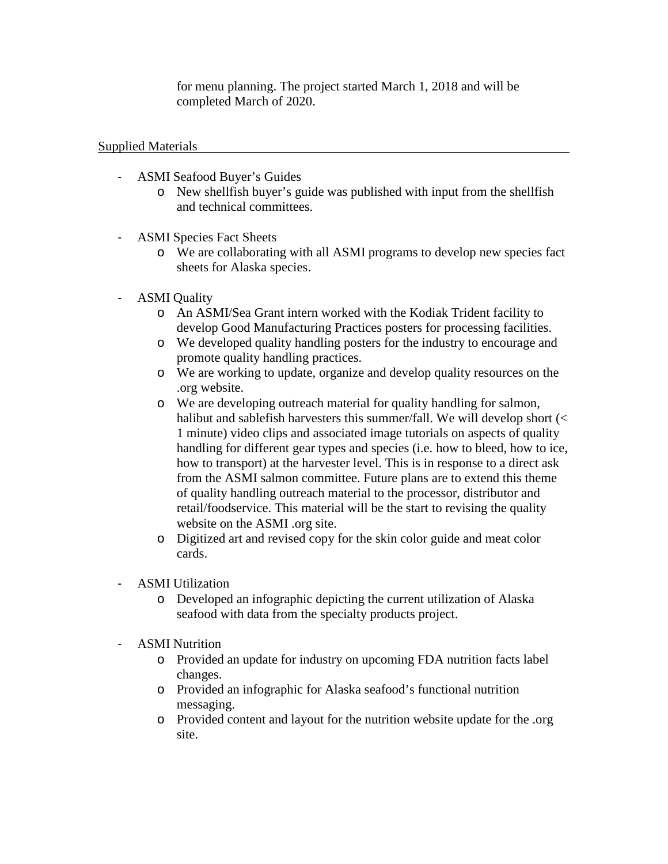for menu planning. The project started March 1, 2018 and will be completed March of 2020.

Supplied Materials

- ASMI Seafood Buyer's Guides
	- o New shellfish buyer's guide was published with input from the shellfish and technical committees.
- ASMI Species Fact Sheets
	- o We are collaborating with all ASMI programs to develop new species fact sheets for Alaska species.
- ASMI Quality
	- o An ASMI/Sea Grant intern worked with the Kodiak Trident facility to develop Good Manufacturing Practices posters for processing facilities.
	- o We developed quality handling posters for the industry to encourage and promote quality handling practices.
	- o We are working to update, organize and develop quality resources on the .org website.
	- o We are developing outreach material for quality handling for salmon, halibut and sablefish harvesters this summer/fall. We will develop short (< 1 minute) video clips and associated image tutorials on aspects of quality handling for different gear types and species (i.e. how to bleed, how to ice, how to transport) at the harvester level. This is in response to a direct ask from the ASMI salmon committee. Future plans are to extend this theme of quality handling outreach material to the processor, distributor and retail/foodservice. This material will be the start to revising the quality website on the ASMI .org site.
	- o Digitized art and revised copy for the skin color guide and meat color cards.
- ASMI Utilization
	- o Developed an infographic depicting the current utilization of Alaska seafood with data from the specialty products project.
- ASMI Nutrition
	- o Provided an update for industry on upcoming FDA nutrition facts label changes.
	- o Provided an infographic for Alaska seafood's functional nutrition messaging.
	- o Provided content and layout for the nutrition website update for the .org site.